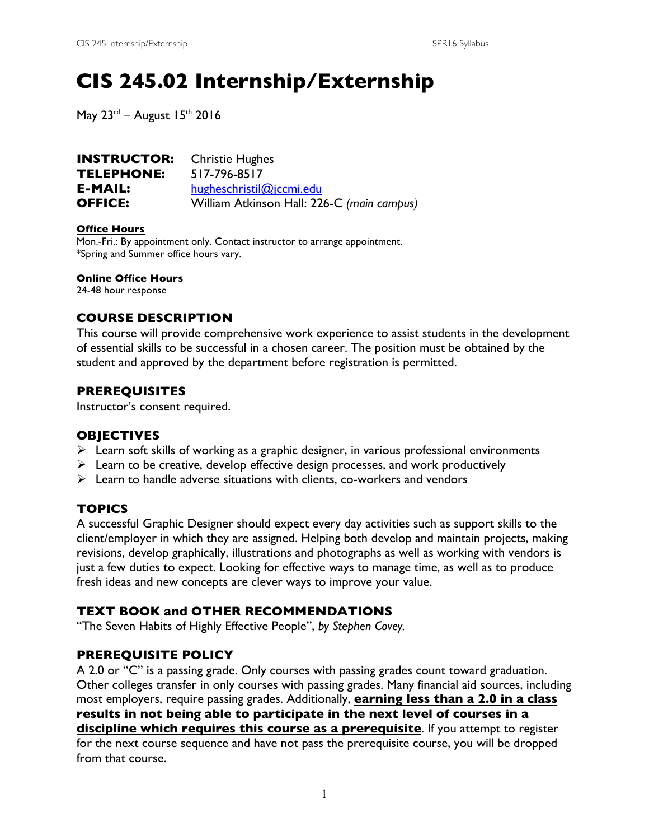# **CIS 245.02 Internship/Externship**

May  $23<sup>rd</sup>$  – August 15<sup>th</sup> 2016

| <b>INSTRUCTOR:</b> | <b>Christie Hughes</b>                     |
|--------------------|--------------------------------------------|
| TELEPHONE:         | 517-796-8517                               |
| E-MAIL:            | hugheschristil@jccmi.edu                   |
| <b>OFFICE:</b>     | William Atkinson Hall: 226-C (main campus) |

#### **Office Hours**

Mon.-Fri.: By appointment only. Contact instructor to arrange appointment. \*Spring and Summer office hours vary.

**Online Office Hours** 

24-48 hour response

### **COURSE DESCRIPTION**

This course will provide comprehensive work experience to assist students in the development of essential skills to be successful in a chosen career. The position must be obtained by the student and approved by the department before registration is permitted.

### **PREREQUISITES**

Instructor's consent required.

#### **OBJECTIVES**

- $\triangleright$  Learn soft skills of working as a graphic designer, in various professional environments
- $\triangleright$  Learn to be creative, develop effective design processes, and work productively
- $\triangleright$  Learn to handle adverse situations with clients, co-workers and vendors

### **TOPICS**

A successful Graphic Designer should expect every day activities such as support skills to the client/employer in which they are assigned. Helping both develop and maintain projects, making revisions, develop graphically, illustrations and photographs as well as working with vendors is just a few duties to expect. Looking for effective ways to manage time, as well as to produce fresh ideas and new concepts are clever ways to improve your value.

### **TEXT BOOK and OTHER RECOMMENDATIONS**

"The Seven Habits of Highly Effective People", *by Stephen Covey.*

### **PREREQUISITE POLICY**

A 2.0 or "C" is a passing grade. Only courses with passing grades count toward graduation. Other colleges transfer in only courses with passing grades. Many financial aid sources, including most employers, require passing grades. Additionally, **earning less than a 2.0 in a class results in not being able to participate in the next level of courses in a discipline which requires this course as a prerequisite**. If you attempt to register for the next course sequence and have not pass the prerequisite course, you will be dropped from that course.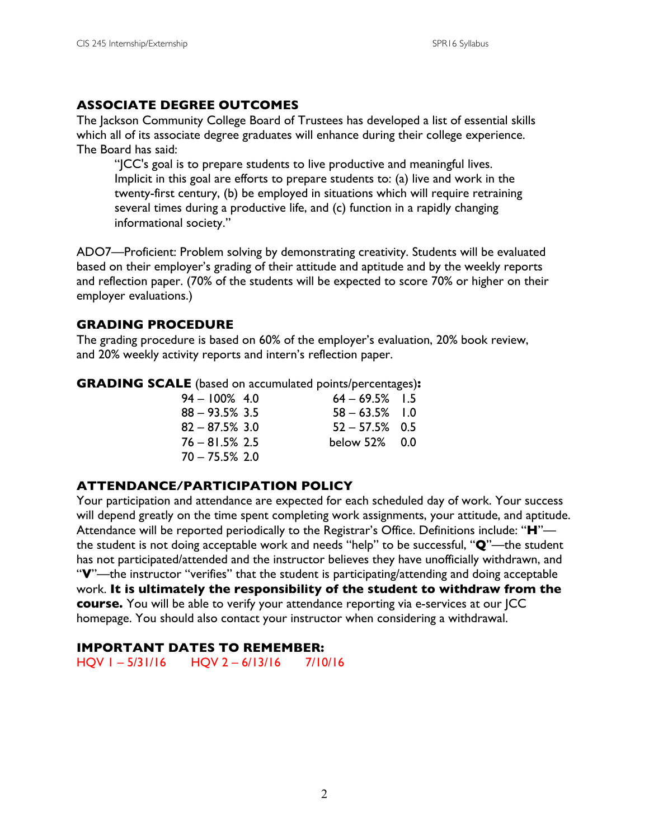### **ASSOCIATE DEGREE OUTCOMES**

The Jackson Community College Board of Trustees has developed a list of essential skills which all of its associate degree graduates will enhance during their college experience. The Board has said:

"JCC's goal is to prepare students to live productive and meaningful lives. Implicit in this goal are efforts to prepare students to: (a) live and work in the twenty-first century, (b) be employed in situations which will require retraining several times during a productive life, and (c) function in a rapidly changing informational society."

ADO7—Proficient: Problem solving by demonstrating creativity. Students will be evaluated based on their employer's grading of their attitude and aptitude and by the weekly reports and reflection paper. (70% of the students will be expected to score 70% or higher on their employer evaluations.)

### **GRADING PROCEDURE**

The grading procedure is based on 60% of the employer's evaluation, 20% book review, and 20% weekly activity reports and intern's reflection paper.

**GRADING SCALE** (based on accumulated points/percentages)**:**

| $64 - 69.5\%$ 1.5 |
|-------------------|
| $58 - 63.5\%$ 1.0 |
| $52 - 57.5\%$ 0.5 |
| below 52% 0.0     |
|                   |
|                   |

### **ATTENDANCE/PARTICIPATION POLICY**

Your participation and attendance are expected for each scheduled day of work. Your success will depend greatly on the time spent completing work assignments, your attitude, and aptitude. Attendance will be reported periodically to the Registrar's Office. Definitions include: "**H**" the student is not doing acceptable work and needs "help" to be successful, "**Q**"—the student has not participated/attended and the instructor believes they have unofficially withdrawn, and "**V**"—the instructor "verifies" that the student is participating/attending and doing acceptable work. **It is ultimately the responsibility of the student to withdraw from the course.** You will be able to verify your attendance reporting via e-services at our JCC homepage. You should also contact your instructor when considering a withdrawal.

### **IMPORTANT DATES TO REMEMBER:**

HQV 1 – 5/31/16 HQV 2 – 6/13/16 7/10/16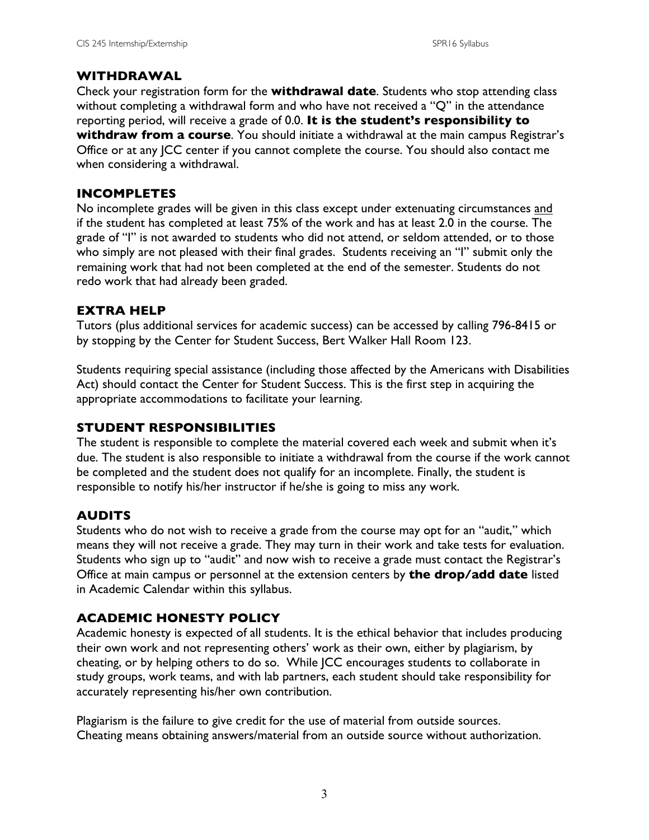### **WITHDRAWAL**

Check your registration form for the **withdrawal date**. Students who stop attending class without completing a withdrawal form and who have not received a "Q" in the attendance reporting period, will receive a grade of 0.0. **It is the student's responsibility to withdraw from a course**. You should initiate a withdrawal at the main campus Registrar's Office or at any JCC center if you cannot complete the course. You should also contact me when considering a withdrawal.

### **INCOMPLETES**

No incomplete grades will be given in this class except under extenuating circumstances and if the student has completed at least 75% of the work and has at least 2.0 in the course. The grade of "I" is not awarded to students who did not attend, or seldom attended, or to those who simply are not pleased with their final grades. Students receiving an "I" submit only the remaining work that had not been completed at the end of the semester. Students do not redo work that had already been graded.

### **EXTRA HELP**

Tutors (plus additional services for academic success) can be accessed by calling 796-8415 or by stopping by the Center for Student Success, Bert Walker Hall Room 123.

Students requiring special assistance (including those affected by the Americans with Disabilities Act) should contact the Center for Student Success. This is the first step in acquiring the appropriate accommodations to facilitate your learning.

### **STUDENT RESPONSIBILITIES**

The student is responsible to complete the material covered each week and submit when it's due. The student is also responsible to initiate a withdrawal from the course if the work cannot be completed and the student does not qualify for an incomplete. Finally, the student is responsible to notify his/her instructor if he/she is going to miss any work.

### **AUDITS**

Students who do not wish to receive a grade from the course may opt for an "audit," which means they will not receive a grade. They may turn in their work and take tests for evaluation. Students who sign up to "audit" and now wish to receive a grade must contact the Registrar's Office at main campus or personnel at the extension centers by **the drop/add date** listed in Academic Calendar within this syllabus.

### **ACADEMIC HONESTY POLICY**

Academic honesty is expected of all students. It is the ethical behavior that includes producing their own work and not representing others' work as their own, either by plagiarism, by cheating, or by helping others to do so. While JCC encourages students to collaborate in study groups, work teams, and with lab partners, each student should take responsibility for accurately representing his/her own contribution.

Plagiarism is the failure to give credit for the use of material from outside sources. Cheating means obtaining answers/material from an outside source without authorization.